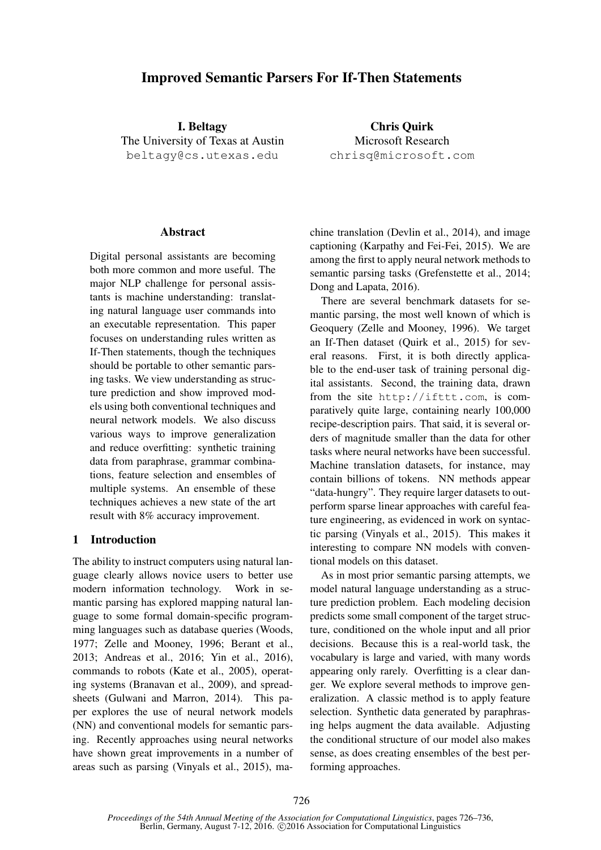# Improved Semantic Parsers For If-Then Statements

I. Beltagy The University of Texas at Austin beltagy@cs.utexas.edu

Chris Quirk Microsoft Research chrisq@microsoft.com

### Abstract

Digital personal assistants are becoming both more common and more useful. The major NLP challenge for personal assistants is machine understanding: translating natural language user commands into an executable representation. This paper focuses on understanding rules written as If-Then statements, though the techniques should be portable to other semantic parsing tasks. We view understanding as structure prediction and show improved models using both conventional techniques and neural network models. We also discuss various ways to improve generalization and reduce overfitting: synthetic training data from paraphrase, grammar combinations, feature selection and ensembles of multiple systems. An ensemble of these techniques achieves a new state of the art result with 8% accuracy improvement.

# 1 Introduction

The ability to instruct computers using natural language clearly allows novice users to better use modern information technology. Work in semantic parsing has explored mapping natural language to some formal domain-specific programming languages such as database queries (Woods, 1977; Zelle and Mooney, 1996; Berant et al., 2013; Andreas et al., 2016; Yin et al., 2016), commands to robots (Kate et al., 2005), operating systems (Branavan et al., 2009), and spreadsheets (Gulwani and Marron, 2014). This paper explores the use of neural network models (NN) and conventional models for semantic parsing. Recently approaches using neural networks have shown great improvements in a number of areas such as parsing (Vinyals et al., 2015), ma-

chine translation (Devlin et al., 2014), and image captioning (Karpathy and Fei-Fei, 2015). We are among the first to apply neural network methods to semantic parsing tasks (Grefenstette et al., 2014; Dong and Lapata, 2016).

There are several benchmark datasets for semantic parsing, the most well known of which is Geoquery (Zelle and Mooney, 1996). We target an If-Then dataset (Quirk et al., 2015) for several reasons. First, it is both directly applicable to the end-user task of training personal digital assistants. Second, the training data, drawn from the site http://ifttt.com, is comparatively quite large, containing nearly 100,000 recipe-description pairs. That said, it is several orders of magnitude smaller than the data for other tasks where neural networks have been successful. Machine translation datasets, for instance, may contain billions of tokens. NN methods appear "data-hungry". They require larger datasets to outperform sparse linear approaches with careful feature engineering, as evidenced in work on syntactic parsing (Vinyals et al., 2015). This makes it interesting to compare NN models with conventional models on this dataset.

As in most prior semantic parsing attempts, we model natural language understanding as a structure prediction problem. Each modeling decision predicts some small component of the target structure, conditioned on the whole input and all prior decisions. Because this is a real-world task, the vocabulary is large and varied, with many words appearing only rarely. Overfitting is a clear danger. We explore several methods to improve generalization. A classic method is to apply feature selection. Synthetic data generated by paraphrasing helps augment the data available. Adjusting the conditional structure of our model also makes sense, as does creating ensembles of the best performing approaches.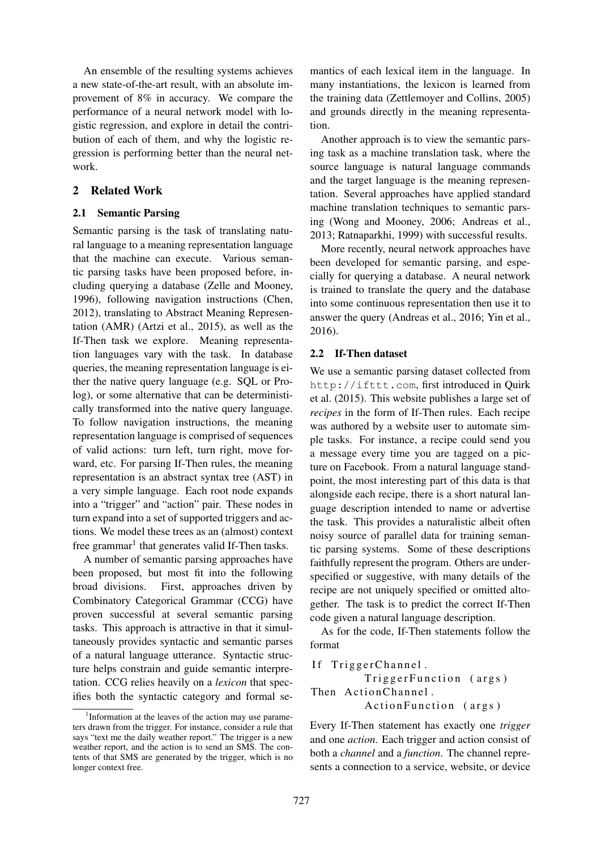An ensemble of the resulting systems achieves a new state-of-the-art result, with an absolute improvement of 8% in accuracy. We compare the performance of a neural network model with logistic regression, and explore in detail the contribution of each of them, and why the logistic regression is performing better than the neural network.

# 2 Related Work

# 2.1 Semantic Parsing

Semantic parsing is the task of translating natural language to a meaning representation language that the machine can execute. Various semantic parsing tasks have been proposed before, including querying a database (Zelle and Mooney, 1996), following navigation instructions (Chen, 2012), translating to Abstract Meaning Representation (AMR) (Artzi et al., 2015), as well as the If-Then task we explore. Meaning representation languages vary with the task. In database queries, the meaning representation language is either the native query language (e.g. SQL or Prolog), or some alternative that can be deterministically transformed into the native query language. To follow navigation instructions, the meaning representation language is comprised of sequences of valid actions: turn left, turn right, move forward, etc. For parsing If-Then rules, the meaning representation is an abstract syntax tree (AST) in a very simple language. Each root node expands into a "trigger" and "action" pair. These nodes in turn expand into a set of supported triggers and actions. We model these trees as an (almost) context free grammar<sup>1</sup> that generates valid If-Then tasks.

A number of semantic parsing approaches have been proposed, but most fit into the following broad divisions. First, approaches driven by Combinatory Categorical Grammar (CCG) have proven successful at several semantic parsing tasks. This approach is attractive in that it simultaneously provides syntactic and semantic parses of a natural language utterance. Syntactic structure helps constrain and guide semantic interpretation. CCG relies heavily on a *lexicon* that specifies both the syntactic category and formal se-

mantics of each lexical item in the language. In many instantiations, the lexicon is learned from the training data (Zettlemoyer and Collins, 2005) and grounds directly in the meaning representation.

Another approach is to view the semantic parsing task as a machine translation task, where the source language is natural language commands and the target language is the meaning representation. Several approaches have applied standard machine translation techniques to semantic parsing (Wong and Mooney, 2006; Andreas et al., 2013; Ratnaparkhi, 1999) with successful results.

More recently, neural network approaches have been developed for semantic parsing, and especially for querying a database. A neural network is trained to translate the query and the database into some continuous representation then use it to answer the query (Andreas et al., 2016; Yin et al., 2016).

# 2.2 If-Then dataset

We use a semantic parsing dataset collected from http://ifttt.com, first introduced in Quirk et al. (2015). This website publishes a large set of *recipes* in the form of If-Then rules. Each recipe was authored by a website user to automate simple tasks. For instance, a recipe could send you a message every time you are tagged on a picture on Facebook. From a natural language standpoint, the most interesting part of this data is that alongside each recipe, there is a short natural language description intended to name or advertise the task. This provides a naturalistic albeit often noisy source of parallel data for training semantic parsing systems. Some of these descriptions faithfully represent the program. Others are underspecified or suggestive, with many details of the recipe are not uniquely specified or omitted altogether. The task is to predict the correct If-Then code given a natural language description.

As for the code, If-Then statements follow the format

If TriggerChannel. TriggerFunction (args) Then Action Channel. Action Function (args)

Every If-Then statement has exactly one *trigger* and one *action*. Each trigger and action consist of both a *channel* and a *function*. The channel represents a connection to a service, website, or device

<sup>&</sup>lt;sup>1</sup>Information at the leaves of the action may use parameters drawn from the trigger. For instance, consider a rule that says "text me the daily weather report." The trigger is a new weather report, and the action is to send an SMS. The contents of that SMS are generated by the trigger, which is no longer context free.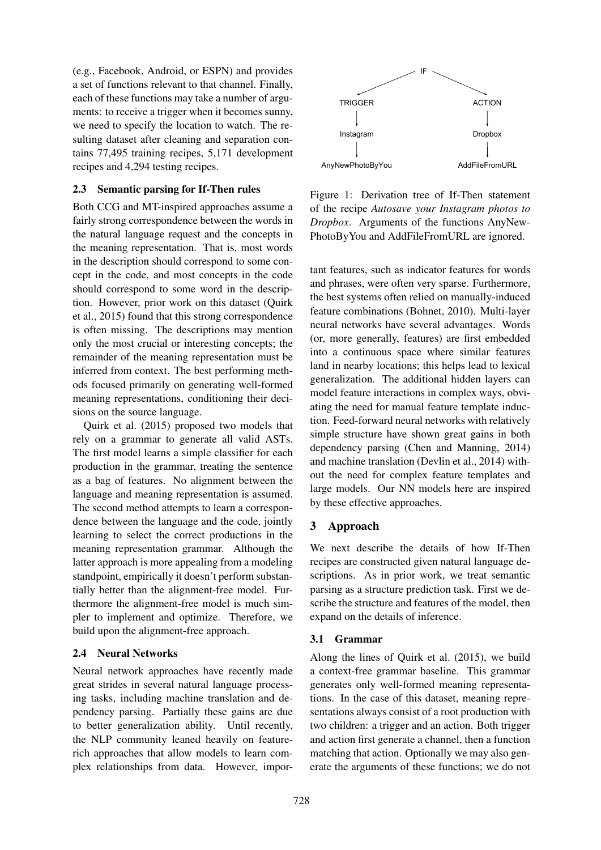(e.g., Facebook, Android, or ESPN) and provides a set of functions relevant to that channel. Finally, each of these functions may take a number of arguments: to receive a trigger when it becomes sunny, we need to specify the location to watch. The resulting dataset after cleaning and separation contains 77,495 training recipes, 5,171 development recipes and 4,294 testing recipes.

# 2.3 Semantic parsing for If-Then rules

Both CCG and MT-inspired approaches assume a fairly strong correspondence between the words in the natural language request and the concepts in the meaning representation. That is, most words in the description should correspond to some concept in the code, and most concepts in the code should correspond to some word in the description. However, prior work on this dataset (Quirk et al., 2015) found that this strong correspondence is often missing. The descriptions may mention only the most crucial or interesting concepts; the remainder of the meaning representation must be inferred from context. The best performing methods focused primarily on generating well-formed meaning representations, conditioning their decisions on the source language.

Quirk et al. (2015) proposed two models that rely on a grammar to generate all valid ASTs. The first model learns a simple classifier for each production in the grammar, treating the sentence as a bag of features. No alignment between the language and meaning representation is assumed. The second method attempts to learn a correspondence between the language and the code, jointly learning to select the correct productions in the meaning representation grammar. Although the latter approach is more appealing from a modeling standpoint, empirically it doesn't perform substantially better than the alignment-free model. Furthermore the alignment-free model is much simpler to implement and optimize. Therefore, we build upon the alignment-free approach.

# 2.4 Neural Networks

Neural network approaches have recently made great strides in several natural language processing tasks, including machine translation and dependency parsing. Partially these gains are due to better generalization ability. Until recently, the NLP community leaned heavily on featurerich approaches that allow models to learn complex relationships from data. However, impor-



Figure 1: Derivation tree of If-Then statement of the recipe *Autosave your Instagram photos to Dropbox*. Arguments of the functions AnyNew-PhotoByYou and AddFileFromURL are ignored.

tant features, such as indicator features for words and phrases, were often very sparse. Furthermore, the best systems often relied on manually-induced feature combinations (Bohnet, 2010). Multi-layer neural networks have several advantages. Words (or, more generally, features) are first embedded into a continuous space where similar features land in nearby locations; this helps lead to lexical generalization. The additional hidden layers can model feature interactions in complex ways, obviating the need for manual feature template induction. Feed-forward neural networks with relatively simple structure have shown great gains in both dependency parsing (Chen and Manning, 2014) and machine translation (Devlin et al., 2014) without the need for complex feature templates and large models. Our NN models here are inspired by these effective approaches.

# 3 Approach

We next describe the details of how If-Then recipes are constructed given natural language descriptions. As in prior work, we treat semantic parsing as a structure prediction task. First we describe the structure and features of the model, then expand on the details of inference.

# 3.1 Grammar

Along the lines of Quirk et al. (2015), we build a context-free grammar baseline. This grammar generates only well-formed meaning representations. In the case of this dataset, meaning representations always consist of a root production with two children: a trigger and an action. Both trigger and action first generate a channel, then a function matching that action. Optionally we may also generate the arguments of these functions; we do not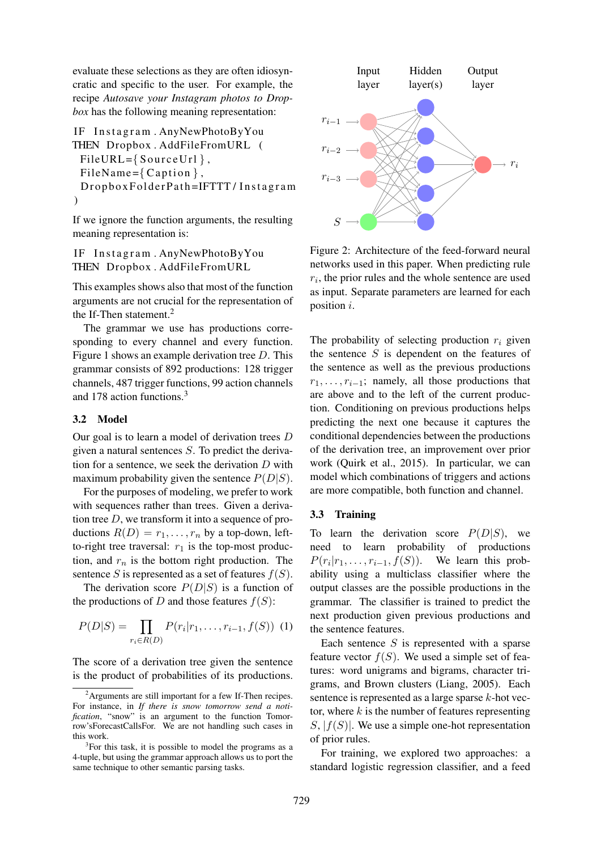evaluate these selections as they are often idiosyncratic and specific to the user. For example, the recipe *Autosave your Instagram photos to Dropbox* has the following meaning representation:

```
IF Instagram. AnyNewPhotoByYou
THEN Dropbox . AddFileFromURL (
 FileURL = \{SourceUrl\},\FileName={Caption },DropboxFolderPath=IFTTT / Instagram
)
```
If we ignore the function arguments, the resulting meaning representation is:

```
IF Instagram. AnyNewPhotoByYou
THEN Dropbox . AddFileFromURL
```
This examples shows also that most of the function arguments are not crucial for the representation of the If-Then statement.<sup>2</sup>

The grammar we use has productions corresponding to every channel and every function. Figure 1 shows an example derivation tree D. This grammar consists of 892 productions: 128 trigger channels, 487 trigger functions, 99 action channels and 178 action functions.<sup>3</sup>

#### 3.2 Model

Our goal is to learn a model of derivation trees D given a natural sentences S. To predict the derivation for a sentence, we seek the derivation  $D$  with maximum probability given the sentence  $P(D|S)$ .

For the purposes of modeling, we prefer to work with sequences rather than trees. Given a derivation tree  $D$ , we transform it into a sequence of productions  $R(D) = r_1, \ldots, r_n$  by a top-down, leftto-right tree traversal:  $r_1$  is the top-most production, and  $r_n$  is the bottom right production. The sentence S is represented as a set of features  $f(S)$ .

The derivation score  $P(D|S)$  is a function of the productions of D and those features  $f(S)$ :

$$
P(D|S) = \prod_{r_i \in R(D)} P(r_i|r_1, \dots, r_{i-1}, f(S)) \tag{1}
$$

The score of a derivation tree given the sentence is the product of probabilities of its productions.



Figure 2: Architecture of the feed-forward neural networks used in this paper. When predicting rule  $r_i$ , the prior rules and the whole sentence are used as input. Separate parameters are learned for each position i.

The probability of selecting production  $r_i$  given the sentence  $S$  is dependent on the features of the sentence as well as the previous productions  $r_1, \ldots, r_{i-1}$ ; namely, all those productions that are above and to the left of the current production. Conditioning on previous productions helps predicting the next one because it captures the conditional dependencies between the productions of the derivation tree, an improvement over prior work (Quirk et al., 2015). In particular, we can model which combinations of triggers and actions are more compatible, both function and channel.

#### 3.3 Training

To learn the derivation score  $P(D|S)$ , we need to learn probability of productions  $P(r_i|r_1,\ldots,r_{i-1},f(S))$ . We learn this probability using a multiclass classifier where the output classes are the possible productions in the grammar. The classifier is trained to predict the next production given previous productions and the sentence features.

Each sentence  $S$  is represented with a sparse feature vector  $f(S)$ . We used a simple set of features: word unigrams and bigrams, character trigrams, and Brown clusters (Liang, 2005). Each sentence is represented as a large sparse k-hot vector, where  $k$  is the number of features representing  $S, |f(S)|$ . We use a simple one-hot representation of prior rules.

For training, we explored two approaches: a standard logistic regression classifier, and a feed

<sup>2</sup>Arguments are still important for a few If-Then recipes. For instance, in *If there is snow tomorrow send a notification*, "snow" is an argument to the function Tomorrow'sForecastCallsFor. We are not handling such cases in this work.

<sup>&</sup>lt;sup>3</sup>For this task, it is possible to model the programs as a 4-tuple, but using the grammar approach allows us to port the same technique to other semantic parsing tasks.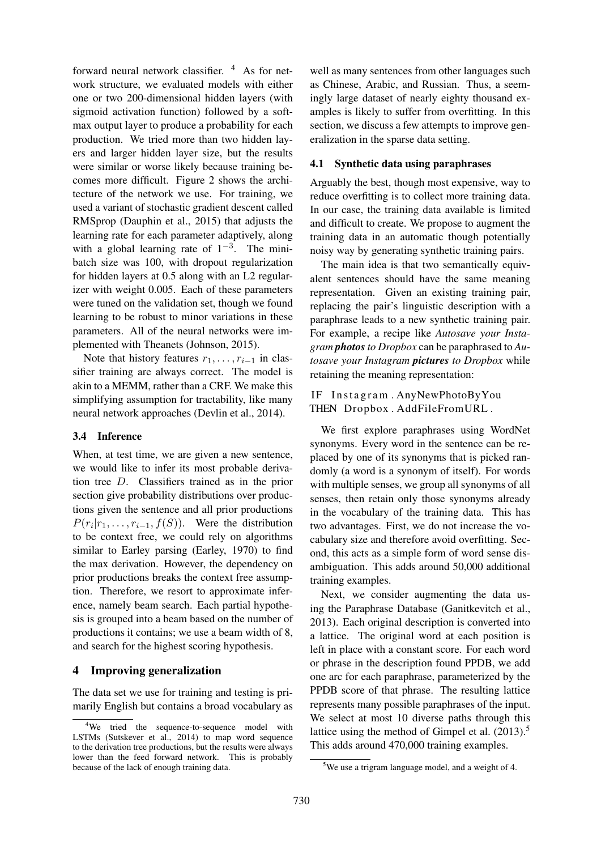forward neural network classifier.  $4$  As for network structure, we evaluated models with either one or two 200-dimensional hidden layers (with sigmoid activation function) followed by a softmax output layer to produce a probability for each production. We tried more than two hidden layers and larger hidden layer size, but the results were similar or worse likely because training becomes more difficult. Figure 2 shows the architecture of the network we use. For training, we used a variant of stochastic gradient descent called RMSprop (Dauphin et al., 2015) that adjusts the learning rate for each parameter adaptively, along with a global learning rate of  $1^{-3}$ . The minibatch size was 100, with dropout regularization for hidden layers at 0.5 along with an L2 regularizer with weight 0.005. Each of these parameters were tuned on the validation set, though we found learning to be robust to minor variations in these parameters. All of the neural networks were implemented with Theanets (Johnson, 2015).

Note that history features  $r_1, \ldots, r_{i-1}$  in classifier training are always correct. The model is akin to a MEMM, rather than a CRF. We make this simplifying assumption for tractability, like many neural network approaches (Devlin et al., 2014).

### 3.4 Inference

When, at test time, we are given a new sentence, we would like to infer its most probable derivation tree D. Classifiers trained as in the prior section give probability distributions over productions given the sentence and all prior productions  $P(r_i|r_1, \ldots, r_{i-1}, f(S))$ . Were the distribution to be context free, we could rely on algorithms similar to Earley parsing (Earley, 1970) to find the max derivation. However, the dependency on prior productions breaks the context free assumption. Therefore, we resort to approximate inference, namely beam search. Each partial hypothesis is grouped into a beam based on the number of productions it contains; we use a beam width of 8, and search for the highest scoring hypothesis.

# 4 Improving generalization

The data set we use for training and testing is primarily English but contains a broad vocabulary as

well as many sentences from other languages such as Chinese, Arabic, and Russian. Thus, a seemingly large dataset of nearly eighty thousand examples is likely to suffer from overfitting. In this section, we discuss a few attempts to improve generalization in the sparse data setting.

### 4.1 Synthetic data using paraphrases

Arguably the best, though most expensive, way to reduce overfitting is to collect more training data. In our case, the training data available is limited and difficult to create. We propose to augment the training data in an automatic though potentially noisy way by generating synthetic training pairs.

The main idea is that two semantically equivalent sentences should have the same meaning representation. Given an existing training pair, replacing the pair's linguistic description with a paraphrase leads to a new synthetic training pair. For example, a recipe like *Autosave your Instagram photosto Dropbox* can be paraphrased to *Autosave your Instagram pictures to Dropbox* while retaining the meaning representation:

# IF Instagram. AnyNewPhotoByYou THEN Dropbox . AddFileFromURL .

We first explore paraphrases using WordNet synonyms. Every word in the sentence can be replaced by one of its synonyms that is picked randomly (a word is a synonym of itself). For words with multiple senses, we group all synonyms of all senses, then retain only those synonyms already in the vocabulary of the training data. This has two advantages. First, we do not increase the vocabulary size and therefore avoid overfitting. Second, this acts as a simple form of word sense disambiguation. This adds around 50,000 additional training examples.

Next, we consider augmenting the data using the Paraphrase Database (Ganitkevitch et al., 2013). Each original description is converted into a lattice. The original word at each position is left in place with a constant score. For each word or phrase in the description found PPDB, we add one arc for each paraphrase, parameterized by the PPDB score of that phrase. The resulting lattice represents many possible paraphrases of the input. We select at most 10 diverse paths through this lattice using the method of Gimpel et al.  $(2013).<sup>5</sup>$ This adds around 470,000 training examples.

<sup>&</sup>lt;sup>4</sup>We tried the sequence-to-sequence model with LSTMs (Sutskever et al., 2014) to map word sequence to the derivation tree productions, but the results were always lower than the feed forward network. This is probably because of the lack of enough training data.

<sup>5</sup>We use a trigram language model, and a weight of 4.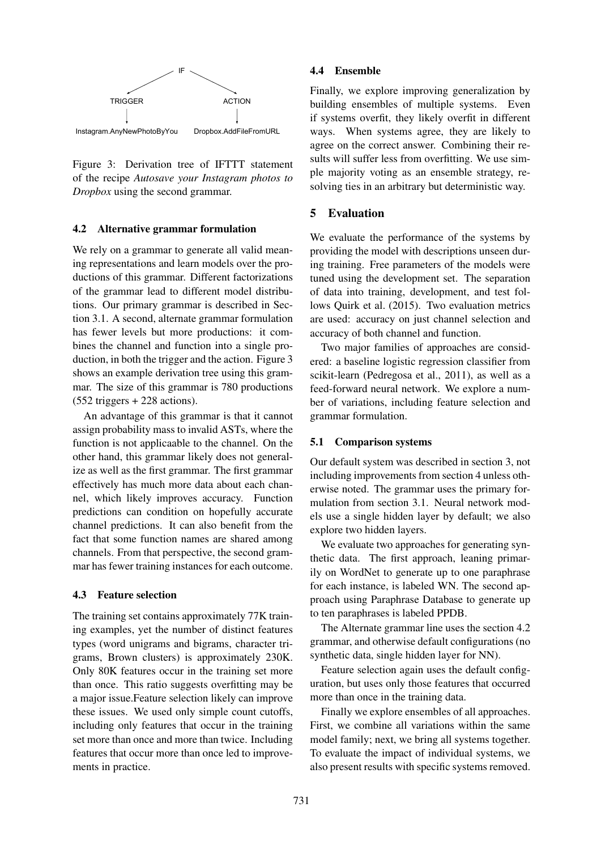

Figure 3: Derivation tree of IFTTT statement of the recipe *Autosave your Instagram photos to Dropbox* using the second grammar.

#### 4.2 Alternative grammar formulation

We rely on a grammar to generate all valid meaning representations and learn models over the productions of this grammar. Different factorizations of the grammar lead to different model distributions. Our primary grammar is described in Section 3.1. A second, alternate grammar formulation has fewer levels but more productions: it combines the channel and function into a single production, in both the trigger and the action. Figure 3 shows an example derivation tree using this grammar. The size of this grammar is 780 productions (552 triggers + 228 actions).

An advantage of this grammar is that it cannot assign probability mass to invalid ASTs, where the function is not applicaable to the channel. On the other hand, this grammar likely does not generalize as well as the first grammar. The first grammar effectively has much more data about each channel, which likely improves accuracy. Function predictions can condition on hopefully accurate channel predictions. It can also benefit from the fact that some function names are shared among channels. From that perspective, the second grammar has fewer training instances for each outcome.

#### 4.3 Feature selection

The training set contains approximately 77K training examples, yet the number of distinct features types (word unigrams and bigrams, character trigrams, Brown clusters) is approximately 230K. Only 80K features occur in the training set more than once. This ratio suggests overfitting may be a major issue.Feature selection likely can improve these issues. We used only simple count cutoffs, including only features that occur in the training set more than once and more than twice. Including features that occur more than once led to improvements in practice.

### 4.4 Ensemble

Finally, we explore improving generalization by building ensembles of multiple systems. Even if systems overfit, they likely overfit in different ways. When systems agree, they are likely to agree on the correct answer. Combining their results will suffer less from overfitting. We use simple majority voting as an ensemble strategy, resolving ties in an arbitrary but deterministic way.

### 5 Evaluation

We evaluate the performance of the systems by providing the model with descriptions unseen during training. Free parameters of the models were tuned using the development set. The separation of data into training, development, and test follows Quirk et al. (2015). Two evaluation metrics are used: accuracy on just channel selection and accuracy of both channel and function.

Two major families of approaches are considered: a baseline logistic regression classifier from scikit-learn (Pedregosa et al., 2011), as well as a feed-forward neural network. We explore a number of variations, including feature selection and grammar formulation.

#### 5.1 Comparison systems

Our default system was described in section 3, not including improvements from section 4 unless otherwise noted. The grammar uses the primary formulation from section 3.1. Neural network models use a single hidden layer by default; we also explore two hidden layers.

We evaluate two approaches for generating synthetic data. The first approach, leaning primarily on WordNet to generate up to one paraphrase for each instance, is labeled WN. The second approach using Paraphrase Database to generate up to ten paraphrases is labeled PPDB.

The Alternate grammar line uses the section 4.2 grammar, and otherwise default configurations (no synthetic data, single hidden layer for NN).

Feature selection again uses the default configuration, but uses only those features that occurred more than once in the training data.

Finally we explore ensembles of all approaches. First, we combine all variations within the same model family; next, we bring all systems together. To evaluate the impact of individual systems, we also present results with specific systems removed.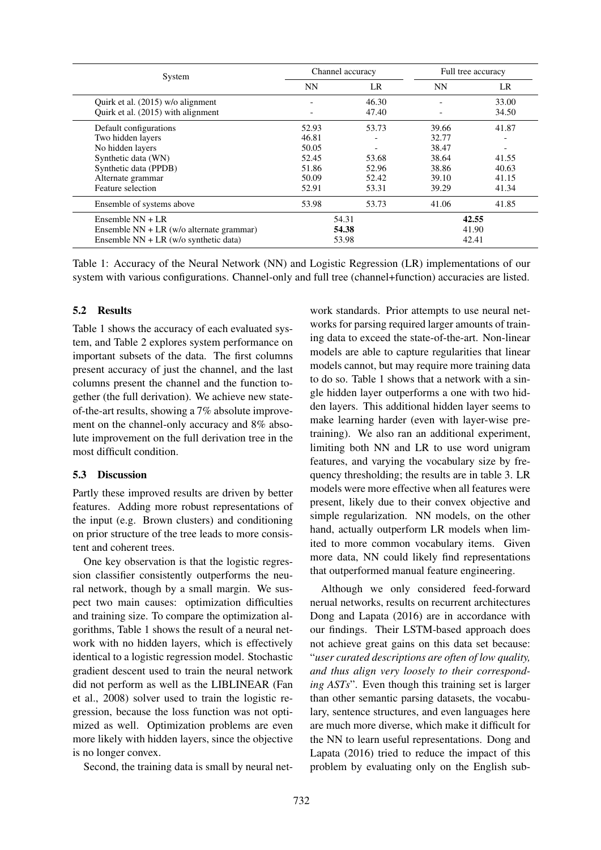| System                                   | Channel accuracy |       | Full tree accuracy |       |
|------------------------------------------|------------------|-------|--------------------|-------|
|                                          | NN               | LR    | <b>NN</b>          | LR.   |
| Quirk et al. (2015) w/o alignment        |                  | 46.30 |                    | 33.00 |
| Quirk et al. (2015) with alignment       |                  | 47.40 |                    | 34.50 |
| Default configurations                   | 52.93            | 53.73 | 39.66              | 41.87 |
| Two hidden layers                        | 46.81            |       | 32.77              |       |
| No hidden layers                         | 50.05            |       | 38.47              |       |
| Synthetic data (WN)                      | 52.45            | 53.68 | 38.64              | 41.55 |
| Synthetic data (PPDB)                    | 51.86            | 52.96 | 38.86              | 40.63 |
| Alternate grammar                        | 50.09            | 52.42 | 39.10              | 41.15 |
| Feature selection                        | 52.91            | 53.31 | 39.29              | 41.34 |
| Ensemble of systems above                | 53.98            | 53.73 | 41.06              | 41.85 |
| Ensemble $NN + LR$                       | 54.31            |       | 42.55              |       |
| Ensemble NN + LR (w/o alternate grammar) | 54.38            |       | 41.90              |       |
| Ensemble $NN + LR$ (w/o synthetic data)  | 53.98            |       | 42.41              |       |

Table 1: Accuracy of the Neural Network (NN) and Logistic Regression (LR) implementations of our system with various configurations. Channel-only and full tree (channel+function) accuracies are listed.

### 5.2 Results

Table 1 shows the accuracy of each evaluated system, and Table 2 explores system performance on important subsets of the data. The first columns present accuracy of just the channel, and the last columns present the channel and the function together (the full derivation). We achieve new stateof-the-art results, showing a 7% absolute improvement on the channel-only accuracy and 8% absolute improvement on the full derivation tree in the most difficult condition.

# 5.3 Discussion

Partly these improved results are driven by better features. Adding more robust representations of the input (e.g. Brown clusters) and conditioning on prior structure of the tree leads to more consistent and coherent trees.

One key observation is that the logistic regression classifier consistently outperforms the neural network, though by a small margin. We suspect two main causes: optimization difficulties and training size. To compare the optimization algorithms, Table 1 shows the result of a neural network with no hidden layers, which is effectively identical to a logistic regression model. Stochastic gradient descent used to train the neural network did not perform as well as the LIBLINEAR (Fan et al., 2008) solver used to train the logistic regression, because the loss function was not optimized as well. Optimization problems are even more likely with hidden layers, since the objective is no longer convex.

Second, the training data is small by neural net-

work standards. Prior attempts to use neural networks for parsing required larger amounts of training data to exceed the state-of-the-art. Non-linear models are able to capture regularities that linear models cannot, but may require more training data to do so. Table 1 shows that a network with a single hidden layer outperforms a one with two hidden layers. This additional hidden layer seems to make learning harder (even with layer-wise pretraining). We also ran an additional experiment, limiting both NN and LR to use word unigram features, and varying the vocabulary size by frequency thresholding; the results are in table 3. LR models were more effective when all features were present, likely due to their convex objective and simple regularization. NN models, on the other hand, actually outperform LR models when limited to more common vocabulary items. Given more data, NN could likely find representations that outperformed manual feature engineering.

Although we only considered feed-forward nerual networks, results on recurrent architectures Dong and Lapata (2016) are in accordance with our findings. Their LSTM-based approach does not achieve great gains on this data set because: "*user curated descriptions are often of low quality, and thus align very loosely to their corresponding ASTs*". Even though this training set is larger than other semantic parsing datasets, the vocabulary, sentence structures, and even languages here are much more diverse, which make it difficult for the NN to learn useful representations. Dong and Lapata (2016) tried to reduce the impact of this problem by evaluating only on the English sub-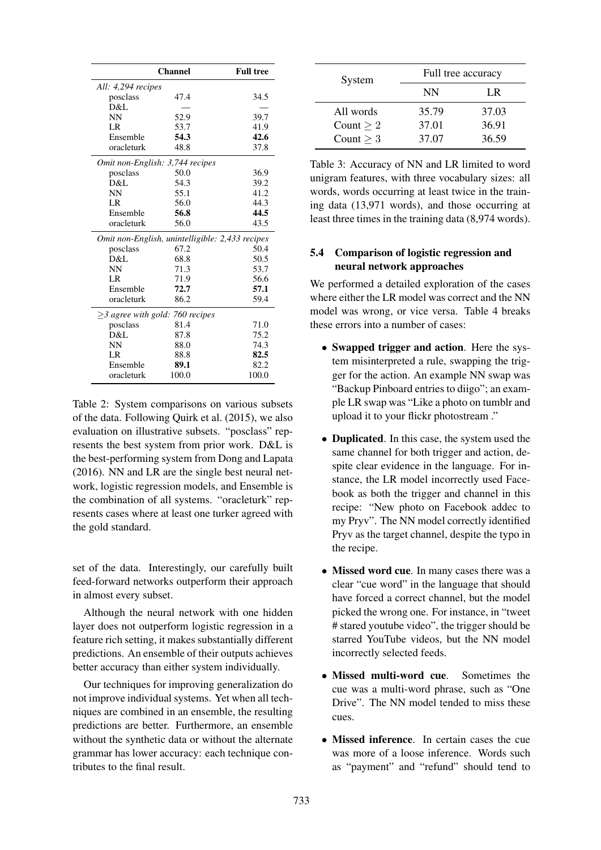|                                       | <b>Channel</b>                                  | <b>Full tree</b> |  |  |
|---------------------------------------|-------------------------------------------------|------------------|--|--|
| All: $4,294$ recipes                  |                                                 |                  |  |  |
| posclass                              | 47.4                                            | 34.5             |  |  |
| D&L                                   |                                                 |                  |  |  |
| NN                                    | 52.9                                            | 39.7             |  |  |
| LR                                    | 53.7                                            | 41.9             |  |  |
| Ensemble                              | 54.3                                            | 42.6             |  |  |
| oracleturk                            | 48.8                                            | 37.8             |  |  |
| Omit non-English: 3,744 recipes       |                                                 |                  |  |  |
| posclass                              | 50.0                                            | 36.9             |  |  |
| D&L                                   | 54.3                                            | 39.2             |  |  |
| NN                                    | 55.1                                            | 41.2             |  |  |
| LR                                    | 56.0                                            | 44.3             |  |  |
| Ensemble                              | 56.8                                            | 44.5             |  |  |
| oracleturk                            | 56.0                                            | 43.5             |  |  |
|                                       | Omit non-English, unintelligible: 2,433 recipes |                  |  |  |
| posclass                              | 67.2                                            | 50.4             |  |  |
| D&L                                   | 68.8                                            | 50.5             |  |  |
| <b>NN</b>                             | 71.3                                            | 53.7             |  |  |
| LR.                                   | 71.9                                            | 56.6             |  |  |
| Ensemble                              | 72.7                                            | 57.1             |  |  |
| oracleturk                            | 86.2                                            | 59.4             |  |  |
| $\geq$ 3 agree with gold: 760 recipes |                                                 |                  |  |  |
| posclass                              | 81.4                                            | 71.0             |  |  |
| D&L                                   | 87.8                                            | 75.2             |  |  |
| NN                                    | 88.0                                            | 74.3             |  |  |
| LR                                    | 88.8                                            | 82.5             |  |  |
| Ensemble                              | 89.1                                            | 82.2             |  |  |
| oracleturk                            | 100.0                                           | 100.0            |  |  |

Table 2: System comparisons on various subsets of the data. Following Quirk et al. (2015), we also evaluation on illustrative subsets. "posclass" represents the best system from prior work. D&L is the best-performing system from Dong and Lapata (2016). NN and LR are the single best neural network, logistic regression models, and Ensemble is the combination of all systems. "oracleturk" represents cases where at least one turker agreed with the gold standard.

set of the data. Interestingly, our carefully built feed-forward networks outperform their approach in almost every subset.

Although the neural network with one hidden layer does not outperform logistic regression in a feature rich setting, it makes substantially different predictions. An ensemble of their outputs achieves better accuracy than either system individually.

Our techniques for improving generalization do not improve individual systems. Yet when all techniques are combined in an ensemble, the resulting predictions are better. Furthermore, an ensemble without the synthetic data or without the alternate grammar has lower accuracy: each technique contributes to the final result.

| System         | Full tree accuracy |       |  |
|----------------|--------------------|-------|--|
|                | NN                 | LR.   |  |
| All words      | 35.79              | 37.03 |  |
| Count $\geq 2$ | 37.01              | 36.91 |  |
| Count $>$ 3    | 37.07              | 36.59 |  |

Table 3: Accuracy of NN and LR limited to word unigram features, with three vocabulary sizes: all words, words occurring at least twice in the training data (13,971 words), and those occurring at least three times in the training data (8,974 words).

# 5.4 Comparison of logistic regression and neural network approaches

We performed a detailed exploration of the cases where either the LR model was correct and the NN model was wrong, or vice versa. Table 4 breaks these errors into a number of cases:

- Swapped trigger and action. Here the system misinterpreted a rule, swapping the trigger for the action. An example NN swap was "Backup Pinboard entries to diigo"; an example LR swap was "Like a photo on tumblr and upload it to your flickr photostream ."
- **Duplicated**. In this case, the system used the same channel for both trigger and action, despite clear evidence in the language. For instance, the LR model incorrectly used Facebook as both the trigger and channel in this recipe: "New photo on Facebook addec to my Pryv". The NN model correctly identified Pryv as the target channel, despite the typo in the recipe.
- Missed word cue. In many cases there was a clear "cue word" in the language that should have forced a correct channel, but the model picked the wrong one. For instance, in "tweet # stared youtube video", the trigger should be starred YouTube videos, but the NN model incorrectly selected feeds.
- Missed multi-word cue. Sometimes the cue was a multi-word phrase, such as "One Drive". The NN model tended to miss these cues.
- Missed inference. In certain cases the cue was more of a loose inference. Words such as "payment" and "refund" should tend to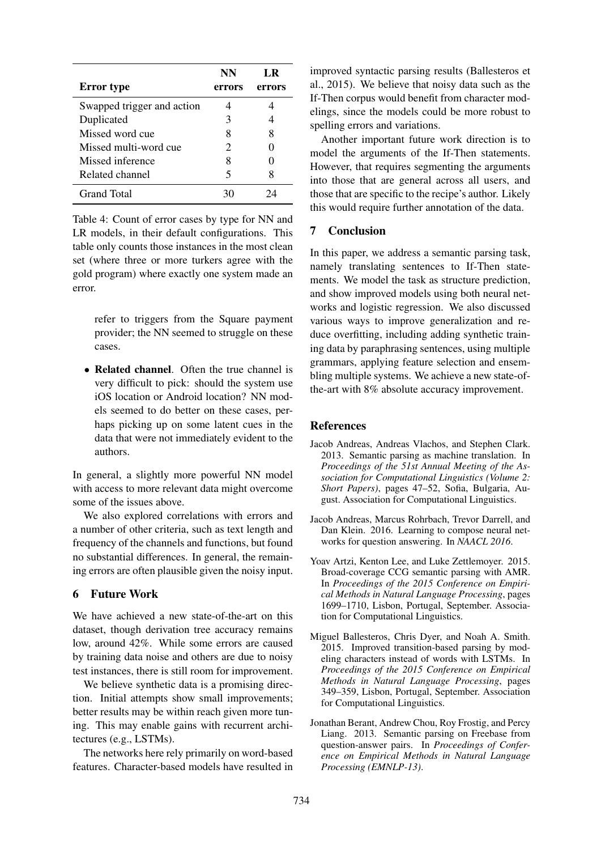| <b>Error</b> type          | NN<br>errors | LR<br>errors |
|----------------------------|--------------|--------------|
|                            |              |              |
| Swapped trigger and action |              |              |
| Duplicated                 |              |              |
| Missed word cue            |              | 8            |
| Missed multi-word cue      | 2.           |              |
| Missed inference           | 8            |              |
| Related channel            | 5            |              |
| <b>Grand Total</b>         |              |              |

Table 4: Count of error cases by type for NN and LR models, in their default configurations. This table only counts those instances in the most clean set (where three or more turkers agree with the gold program) where exactly one system made an error.

refer to triggers from the Square payment provider; the NN seemed to struggle on these cases.

• Related channel. Often the true channel is very difficult to pick: should the system use iOS location or Android location? NN models seemed to do better on these cases, perhaps picking up on some latent cues in the data that were not immediately evident to the authors.

In general, a slightly more powerful NN model with access to more relevant data might overcome some of the issues above.

We also explored correlations with errors and a number of other criteria, such as text length and frequency of the channels and functions, but found no substantial differences. In general, the remaining errors are often plausible given the noisy input.

# 6 Future Work

We have achieved a new state-of-the-art on this dataset, though derivation tree accuracy remains low, around 42%. While some errors are caused by training data noise and others are due to noisy test instances, there is still room for improvement.

We believe synthetic data is a promising direction. Initial attempts show small improvements; better results may be within reach given more tuning. This may enable gains with recurrent architectures (e.g., LSTMs).

The networks here rely primarily on word-based features. Character-based models have resulted in

improved syntactic parsing results (Ballesteros et al., 2015). We believe that noisy data such as the If-Then corpus would benefit from character modelings, since the models could be more robust to spelling errors and variations.

Another important future work direction is to model the arguments of the If-Then statements. However, that requires segmenting the arguments into those that are general across all users, and those that are specific to the recipe's author. Likely this would require further annotation of the data.

# 7 Conclusion

In this paper, we address a semantic parsing task, namely translating sentences to If-Then statements. We model the task as structure prediction, and show improved models using both neural networks and logistic regression. We also discussed various ways to improve generalization and reduce overfitting, including adding synthetic training data by paraphrasing sentences, using multiple grammars, applying feature selection and ensembling multiple systems. We achieve a new state-ofthe-art with 8% absolute accuracy improvement.

# References

- Jacob Andreas, Andreas Vlachos, and Stephen Clark. 2013. Semantic parsing as machine translation. In *Proceedings of the 51st Annual Meeting of the Association for Computational Linguistics (Volume 2: Short Papers)*, pages 47–52, Sofia, Bulgaria, August. Association for Computational Linguistics.
- Jacob Andreas, Marcus Rohrbach, Trevor Darrell, and Dan Klein. 2016. Learning to compose neural networks for question answering. In *NAACL 2016*.
- Yoav Artzi, Kenton Lee, and Luke Zettlemoyer. 2015. Broad-coverage CCG semantic parsing with AMR. In *Proceedings of the 2015 Conference on Empirical Methods in Natural Language Processing*, pages 1699–1710, Lisbon, Portugal, September. Association for Computational Linguistics.
- Miguel Ballesteros, Chris Dyer, and Noah A. Smith. 2015. Improved transition-based parsing by modeling characters instead of words with LSTMs. In *Proceedings of the 2015 Conference on Empirical Methods in Natural Language Processing*, pages 349–359, Lisbon, Portugal, September. Association for Computational Linguistics.
- Jonathan Berant, Andrew Chou, Roy Frostig, and Percy Liang. 2013. Semantic parsing on Freebase from question-answer pairs. In *Proceedings of Conference on Empirical Methods in Natural Language Processing (EMNLP-13)*.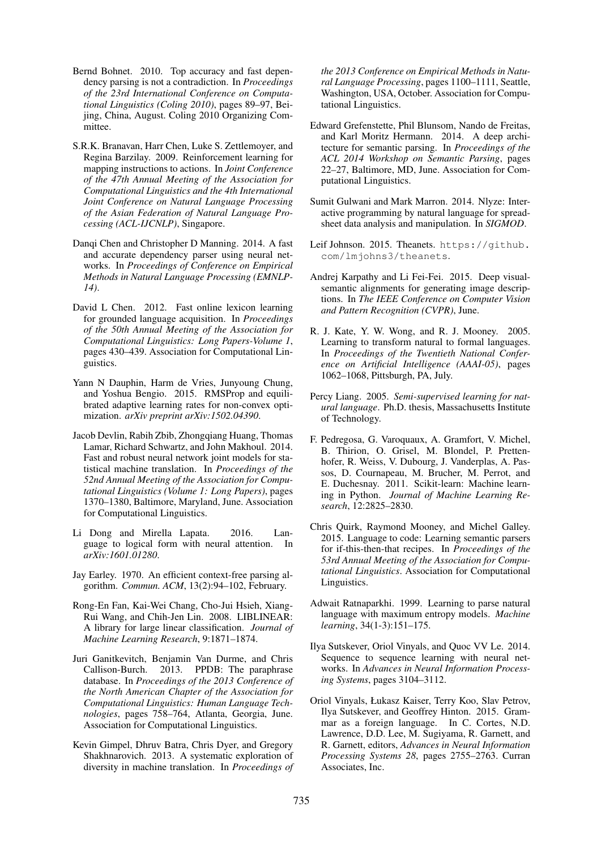- Bernd Bohnet. 2010. Top accuracy and fast dependency parsing is not a contradiction. In *Proceedings of the 23rd International Conference on Computational Linguistics (Coling 2010)*, pages 89–97, Beijing, China, August. Coling 2010 Organizing Committee.
- S.R.K. Branavan, Harr Chen, Luke S. Zettlemoyer, and Regina Barzilay. 2009. Reinforcement learning for mapping instructions to actions. In *Joint Conference of the 47th Annual Meeting of the Association for Computational Linguistics and the 4th International Joint Conference on Natural Language Processing of the Asian Federation of Natural Language Processing (ACL-IJCNLP)*, Singapore.
- Danqi Chen and Christopher D Manning. 2014. A fast and accurate dependency parser using neural networks. In *Proceedings of Conference on Empirical Methods in Natural Language Processing (EMNLP-14)*.
- David L Chen. 2012. Fast online lexicon learning for grounded language acquisition. In *Proceedings of the 50th Annual Meeting of the Association for Computational Linguistics: Long Papers-Volume 1*, pages 430–439. Association for Computational Linguistics.
- Yann N Dauphin, Harm de Vries, Junyoung Chung, and Yoshua Bengio. 2015. RMSProp and equilibrated adaptive learning rates for non-convex optimization. *arXiv preprint arXiv:1502.04390*.
- Jacob Devlin, Rabih Zbib, Zhongqiang Huang, Thomas Lamar, Richard Schwartz, and John Makhoul. 2014. Fast and robust neural network joint models for statistical machine translation. In *Proceedings of the 52nd Annual Meeting of the Association for Computational Linguistics (Volume 1: Long Papers)*, pages 1370–1380, Baltimore, Maryland, June. Association for Computational Linguistics.
- Li Dong and Mirella Lapata. 2016. Language to logical form with neural attention. In *arXiv:1601.01280*.
- Jay Earley. 1970. An efficient context-free parsing algorithm. *Commun. ACM*, 13(2):94–102, February.
- Rong-En Fan, Kai-Wei Chang, Cho-Jui Hsieh, Xiang-Rui Wang, and Chih-Jen Lin. 2008. LIBLINEAR: A library for large linear classification. *Journal of Machine Learning Research*, 9:1871–1874.
- Juri Ganitkevitch, Benjamin Van Durme, and Chris Callison-Burch. 2013. PPDB: The paraphrase database. In *Proceedings of the 2013 Conference of the North American Chapter of the Association for Computational Linguistics: Human Language Technologies*, pages 758–764, Atlanta, Georgia, June. Association for Computational Linguistics.
- Kevin Gimpel, Dhruv Batra, Chris Dyer, and Gregory Shakhnarovich. 2013. A systematic exploration of diversity in machine translation. In *Proceedings of*

*the 2013 Conference on Empirical Methods in Natural Language Processing*, pages 1100–1111, Seattle, Washington, USA, October. Association for Computational Linguistics.

- Edward Grefenstette, Phil Blunsom, Nando de Freitas, and Karl Moritz Hermann. 2014. A deep architecture for semantic parsing. In *Proceedings of the ACL 2014 Workshop on Semantic Parsing*, pages 22–27, Baltimore, MD, June. Association for Computational Linguistics.
- Sumit Gulwani and Mark Marron. 2014. Nlyze: Interactive programming by natural language for spreadsheet data analysis and manipulation. In *SIGMOD*.
- Leif Johnson. 2015. Theanets. https://github. com/lmjohns3/theanets.
- Andrej Karpathy and Li Fei-Fei. 2015. Deep visualsemantic alignments for generating image descriptions. In *The IEEE Conference on Computer Vision and Pattern Recognition (CVPR)*, June.
- R. J. Kate, Y. W. Wong, and R. J. Mooney. 2005. Learning to transform natural to formal languages. In *Proceedings of the Twentieth National Conference on Artificial Intelligence (AAAI-05)*, pages 1062–1068, Pittsburgh, PA, July.
- Percy Liang. 2005. *Semi-supervised learning for natural language*. Ph.D. thesis, Massachusetts Institute of Technology.
- F. Pedregosa, G. Varoquaux, A. Gramfort, V. Michel, B. Thirion, O. Grisel, M. Blondel, P. Prettenhofer, R. Weiss, V. Dubourg, J. Vanderplas, A. Passos, D. Cournapeau, M. Brucher, M. Perrot, and E. Duchesnay. 2011. Scikit-learn: Machine learning in Python. *Journal of Machine Learning Research*, 12:2825–2830.
- Chris Quirk, Raymond Mooney, and Michel Galley. 2015. Language to code: Learning semantic parsers for if-this-then-that recipes. In *Proceedings of the 53rd Annual Meeting of the Association for Computational Linguistics*. Association for Computational Linguistics.
- Adwait Ratnaparkhi. 1999. Learning to parse natural language with maximum entropy models. *Machine learning*, 34(1-3):151–175.
- Ilya Sutskever, Oriol Vinyals, and Quoc VV Le. 2014. Sequence to sequence learning with neural networks. In *Advances in Neural Information Processing Systems*, pages 3104–3112.
- Oriol Vinyals, Łukasz Kaiser, Terry Koo, Slav Petrov, Ilya Sutskever, and Geoffrey Hinton. 2015. Grammar as a foreign language. In C. Cortes, N.D. Lawrence, D.D. Lee, M. Sugiyama, R. Garnett, and R. Garnett, editors, *Advances in Neural Information Processing Systems 28*, pages 2755–2763. Curran Associates, Inc.